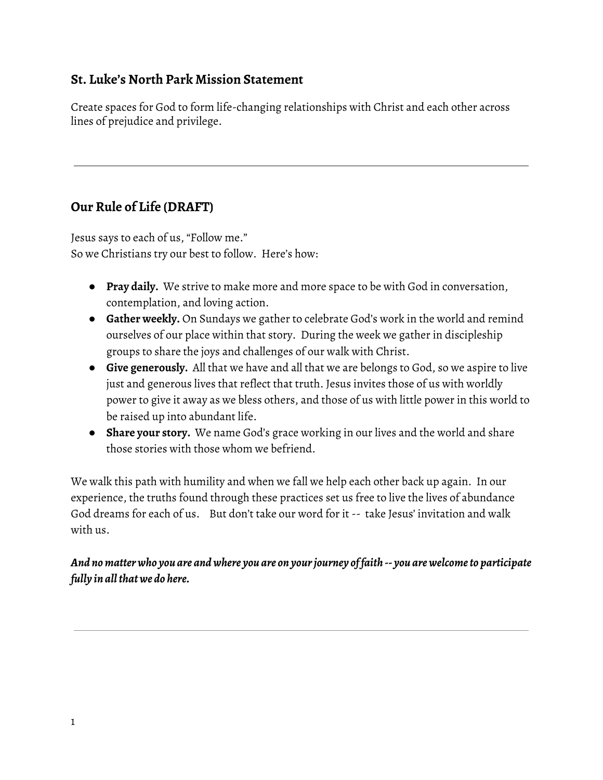### **St. Luke's North Park Mission Statement**

Create spaces for God to form life-changing relationships with Christ and each other across lines of prejudice and privilege.

# **Our Rule of Life (DRAFT)**

Jesus says to each of us, "Follow me." So we Christians try our best to follow. Here's how:

- **Pray daily.** We strive to make more and more space to be with God in conversation, contemplation, and loving action.
- **Gather weekly.** On Sundays we gather to celebrate God's work in the world and remind ourselves of our place within that story. During the week we gather in discipleship groups to share the joys and challenges of our walk with Christ.
- **Give generously.** All that we have and all that we are belongs to God, so we aspire to live just and generous lives that reflect that truth. Jesus invites those of us with worldly power to give it away as we bless others, and those of us with little power in this world to be raised up into abundant life.
- **Share your story.** We name God's grace working in our lives and the world and share those stories with those whom we befriend.

We walk this path with humility and when we fall we help each other back up again. In our experience, the truths found through these practices set us free to live the lives of abundance God dreams for each of us. But don't take our word for it -- take Jesus' invitation and walk with us.

*And nomatterwho you are and where you are on yourjourney of faith -- you arewelcometo participate fully in allthatwe do here.*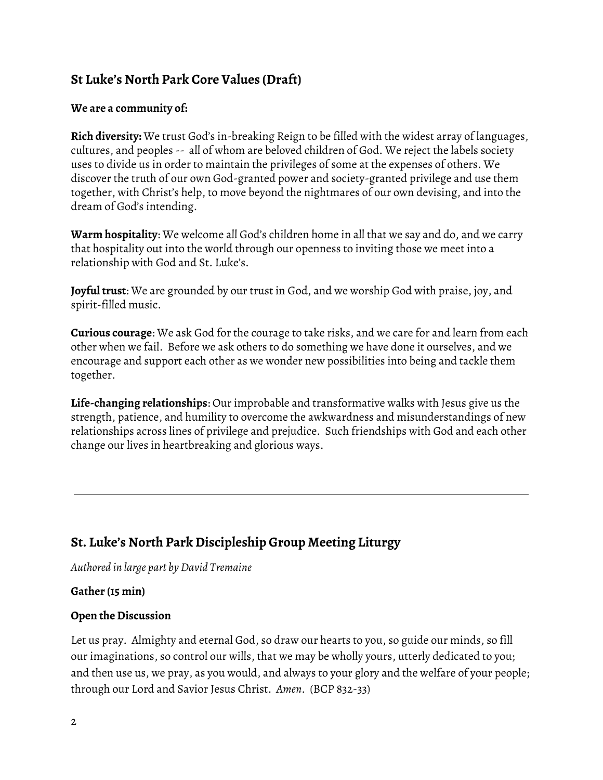# **St Luke's North Park Core Values (Draft)**

#### **We are a community of:**

**Rich diversity:** We trust God's in-breaking Reign to be filled with the widest array of languages, cultures, and peoples -- all of whom are beloved children of God. We reject the labels society uses to divide us in order to maintain the privileges of some at the expenses of others. We discover the truth of our own God-granted power and society-granted privilege and use them together, with Christ's help, to move beyond the nightmares of our own devising, and into the dream of God's intending.

**Warm hospitality**: We welcome all God's children home in all that we say and do, and we carry that hospitality out into the world through our openness to inviting those we meet into a relationship with God and St. Luke's.

**Joyful trust**: We are grounded by our trust in God, and we worship God with praise, joy, and spirit-filled music.

**Curious courage**: We ask God for the courage to take risks, and we care for and learn from each other when we fail. Before we ask others to do something we have done it ourselves, and we encourage and support each other as we wonder new possibilities into being and tackle them together.

**Life-changing relationships**: Our improbable and transformative walks with Jesus give us the strength, patience, and humility to overcome the awkwardness and misunderstandings of new relationships across lines of privilege and prejudice. Such friendships with God and each other change our lives in heartbreaking and glorious ways.

# **St. Luke's North Park Discipleship Group Meeting Liturgy**

*Authored in large part by David Tremaine*

### **Gather (15 min)**

### **Open the Discussion**

Let us pray. Almighty and eternal God, so draw our hearts to you, so guide our minds, so fill our imaginations, so control our wills, that we may be wholly yours, utterly dedicated to you; and then use us, we pray, as you would, and always to your glory and the welfare of your people; through our Lord and Savior Jesus Christ. *Amen*. (BCP 832-33)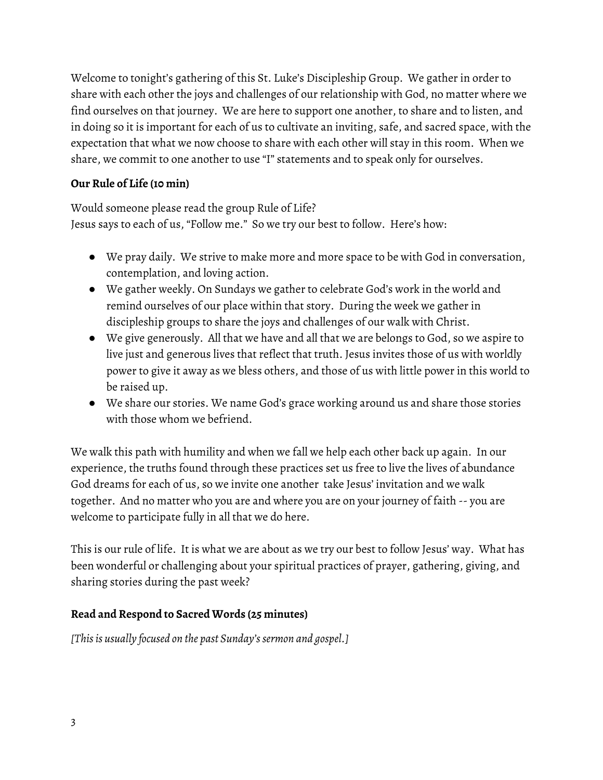Welcome to tonight's gathering of this St. Luke's Discipleship Group. We gather in order to share with each other the joys and challenges of our relationship with God, no matter where we find ourselves on that journey. We are here to support one another, to share and to listen, and in doing so it is important for each of us to cultivate an inviting, safe, and sacred space, with the expectation that what we now choose to share with each other will stay in this room. When we share, we commit to one another to use "I" statements and to speak only for ourselves.

### **Our Rule of Life (10 min)**

Would someone please read the group Rule of Life? Jesus says to each of us, "Follow me." So we try our best to follow. Here's how:

- We pray daily. We strive to make more and more space to be with God in conversation, contemplation, and loving action.
- We gather weekly. On Sundays we gather to celebrate God's work in the world and remind ourselves of our place within that story. During the week we gather in discipleship groups to share the joys and challenges of our walk with Christ.
- We give generously. All that we have and all that we are belongs to God, so we aspire to live just and generous lives that reflect that truth. Jesus invites those of us with worldly power to give it away as we bless others, and those of us with little power in this world to be raised up.
- We share our stories. We name God's grace working around us and share those stories with those whom we befriend.

We walk this path with humility and when we fall we help each other back up again. In our experience, the truths found through these practices set us free to live the lives of abundance God dreams for each of us, so we invite one another take Jesus' invitation and we walk together. And no matter who you are and where you are on your journey of faith -- you are welcome to participate fully in all that we do here.

This is our rule of life. It is what we are about as we try our best to follow Jesus' way. What has been wonderful or challenging about your spiritual practices of prayer, gathering, giving, and sharing stories during the past week?

### **Read and Respond to Sacred Words (25 minutes)**

*[Thisis usually focused on the past Sunday'ssermon and gospel.]*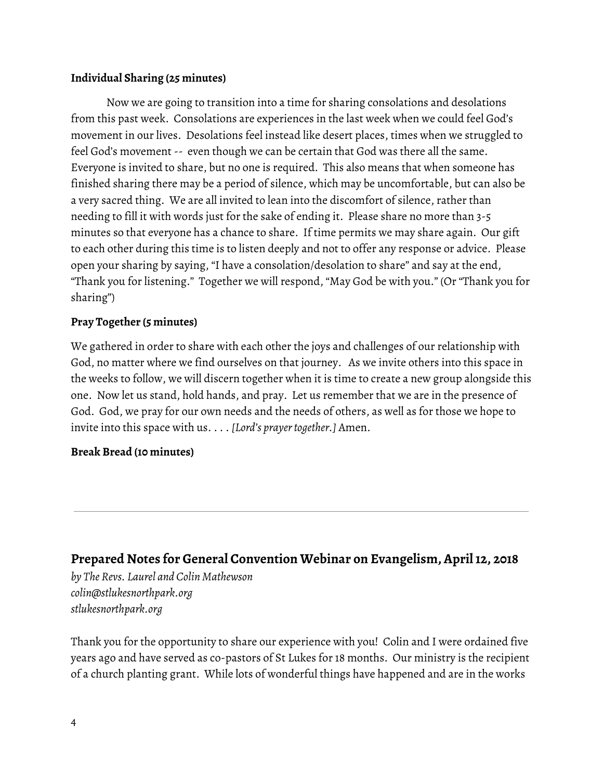### **Individual Sharing (25 minutes)**

Now we are going to transition into a time for sharing consolations and desolations from this past week. Consolations are experiences in the last week when we could feel God's movement in our lives. Desolations feel instead like desert places, times when we struggled to feel God's movement -- even though we can be certain that God was there all the same. Everyone is invited to share, but no one is required. This also means that when someone has finished sharing there may be a period of silence, which may be uncomfortable, but can also be a very sacred thing. We are all invited to lean into the discomfort of silence, rather than needing to fill it with words just for the sake of ending it. Please share no more than 3-5 minutes so that everyone has a chance to share. If time permits we may share again. Our gift to each other during this time is to listen deeply and not to offer any response or advice. Please open your sharing by saying, "I have a consolation/desolation to share" and say at the end, "Thank you for listening." Together we will respond, "May God be with you." (Or "Thank you for sharing")

### **Pray Together (5 minutes)**

We gathered in order to share with each other the joys and challenges of our relationship with God, no matter where we find ourselves on that journey. As we invite others into this space in the weeks to follow, we will discern together when it is time to create a new group alongside this one. Now let us stand, hold hands, and pray. Let us remember that we are in the presence of God. God, we pray for our own needs and the needs of others, as well as for those we hope to invite into this space with us. . . . [Lord's prayer together.] Amen.

### **Break Bread (10 minutes)**

## **Prepared Notes for General Convention Webinar on Evangelism, April12, 2018**

*by The Revs. Laurel and Colin Mathewson colin@stlukesnorthpark.org stlukesnorthpark.org*

Thank you for the opportunity to share our experience with you! Colin and I were ordained five years ago and have served as co-pastors of St Lukes for 18 months. Our ministry is the recipient of a church planting grant. While lots of wonderful things have happened and are in the works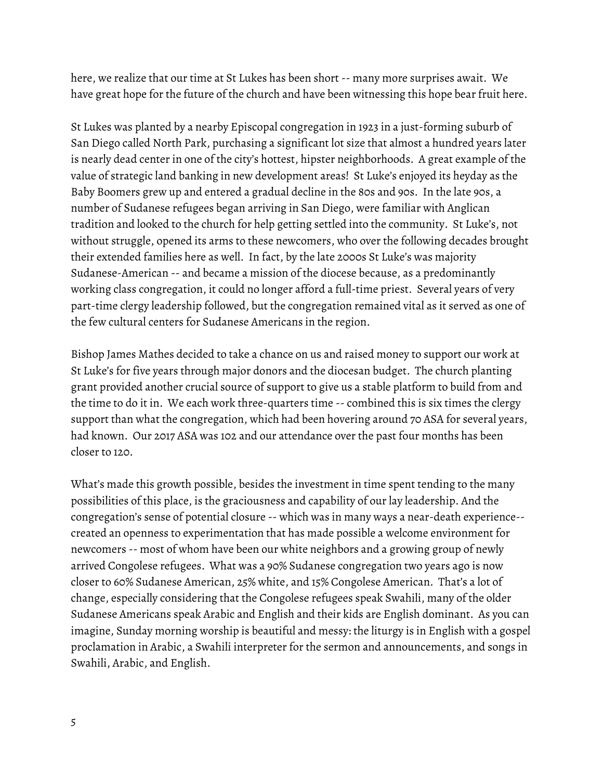here, we realize that our time at St Lukes has been short -- many more surprises await. We have great hope for the future of the church and have been witnessing this hope bear fruit here.

St Lukes was planted by a nearby Episcopal congregation in 1923 in a just-forming suburb of San Diego called North Park, purchasing a significant lot size that almost a hundred years later is nearly dead center in one of the city's hottest, hipster neighborhoods. A great example of the value of strategic land banking in new development areas! St Luke's enjoyed its heyday as the Baby Boomers grew up and entered a gradual decline in the 80s and 90s. In the late 90s, a number of Sudanese refugees began arriving in San Diego, were familiar with Anglican tradition and looked to the church for help getting settled into the community. St Luke's, not without struggle, opened its arms to these newcomers, who over the following decades brought their extended families here as well. In fact, by the late 2000s St Luke's was majority Sudanese-American -- and became a mission of the diocese because, as a predominantly working class congregation, it could no longer afford a full-time priest. Several years of very part-time clergy leadership followed, but the congregation remained vital as it served as one of the few cultural centers for Sudanese Americans in the region.

Bishop James Mathes decided to take a chance on us and raised money to support our work at St Luke's for five years through major donors and the diocesan budget. The church planting grant provided another crucial source of support to give us a stable platform to build from and the time to do it in. We each work three-quarters time -- combined this is six times the clergy support than what the congregation, which had been hovering around 70 ASA for several years, had known. Our 2017 ASA was 102 and our attendance over the past four months has been closer to 120.

What's made this growth possible, besides the investment in time spent tending to the many possibilities of this place, is the graciousness and capability of our lay leadership. And the congregation's sense of potential closure -- which was in many ways a near-death experience- created an openness to experimentation that has made possible a welcome environment for newcomers -- most of whom have been our white neighbors and a growing group of newly arrived Congolese refugees. What was a 90% Sudanese congregation two years ago is now closer to 60% Sudanese American, 25% white, and 15% Congolese American. That's a lot of change, especially considering that the Congolese refugees speak Swahili, many of the older Sudanese Americans speak Arabic and English and their kids are English dominant. As you can imagine, Sunday morning worship is beautiful and messy: the liturgy is in English with a gospel proclamation in Arabic, a Swahili interpreter for the sermon and announcements, and songs in Swahili, Arabic, and English.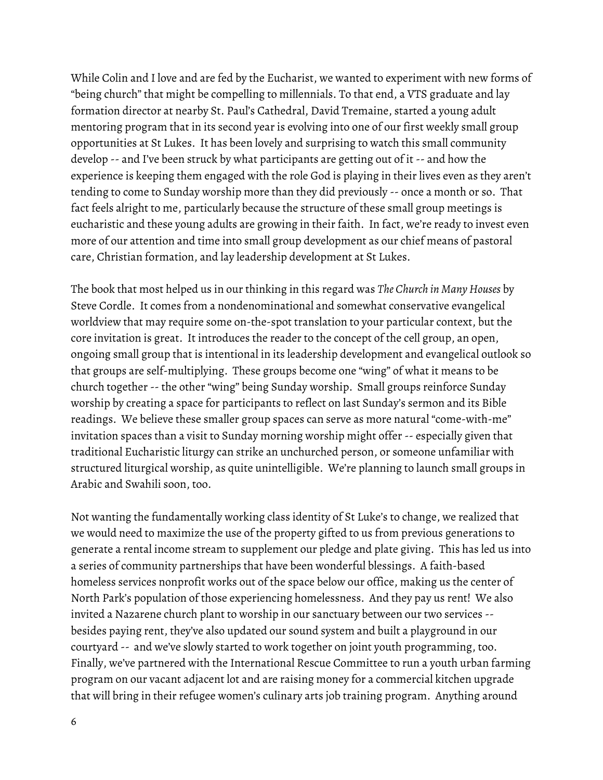While Colin and I love and are fed by the Eucharist, we wanted to experiment with new forms of "being church" that might be compelling to millennials. To that end, a VTS graduate and lay formation director at nearby St. Paul's Cathedral, David Tremaine, started a young adult mentoring program that in its second year is evolving into one of our first weekly small group opportunities at St Lukes. It has been lovely and surprising to watch this small community develop -- and I've been struck by what participants are getting out of it -- and how the experience is keeping them engaged with the role God is playing in their lives even as they aren't tending to come to Sunday worship more than they did previously -- once a month or so. That fact feels alright to me, particularly because the structure of these small group meetings is eucharistic and these young adults are growing in their faith. In fact, we're ready to invest even more of our attention and time into small group development as our chief means of pastoral care, Christian formation, and lay leadership development at St Lukes.

The book that most helped us in our thinking in this regard was *The Church in Many Houses* by Steve Cordle. It comes from a nondenominational and somewhat conservative evangelical worldview that may require some on-the-spot translation to your particular context, but the core invitation is great. It introduces the reader to the concept of the cell group, an open, ongoing small group that is intentional in its leadership development and evangelical outlook so that groups are self-multiplying. These groups become one "wing" of what it means to be church together -- the other "wing" being Sunday worship. Small groups reinforce Sunday worship by creating a space for participants to reflect on last Sunday's sermon and its Bible readings. We believe these smaller group spaces can serve as more natural "come-with-me" invitation spaces than a visit to Sunday morning worship might offer -- especially given that traditional Eucharistic liturgy can strike an unchurched person, or someone unfamiliar with structured liturgical worship, as quite unintelligible. We're planning to launch small groups in Arabic and Swahili soon, too.

Not wanting the fundamentally working class identity of St Luke's to change, we realized that we would need to maximize the use of the property gifted to us from previous generations to generate a rental income stream to supplement our pledge and plate giving. This has led us into a series of community partnerships that have been wonderful blessings. A faith-based homeless services nonprofit works out of the space below our office, making us the center of North Park's population of those experiencing homelessness. And they pay us rent! We also invited a Nazarene church plant to worship in our sanctuary between our two services - besides paying rent, they've also updated our sound system and built a playground in our courtyard -- and we've slowly started to work together on joint youth programming, too. Finally, we've partnered with the International Rescue Committee to run a youth urban farming program on our vacant adjacent lot and are raising money for a commercial kitchen upgrade that will bring in their refugee women's culinary arts job training program. Anything around